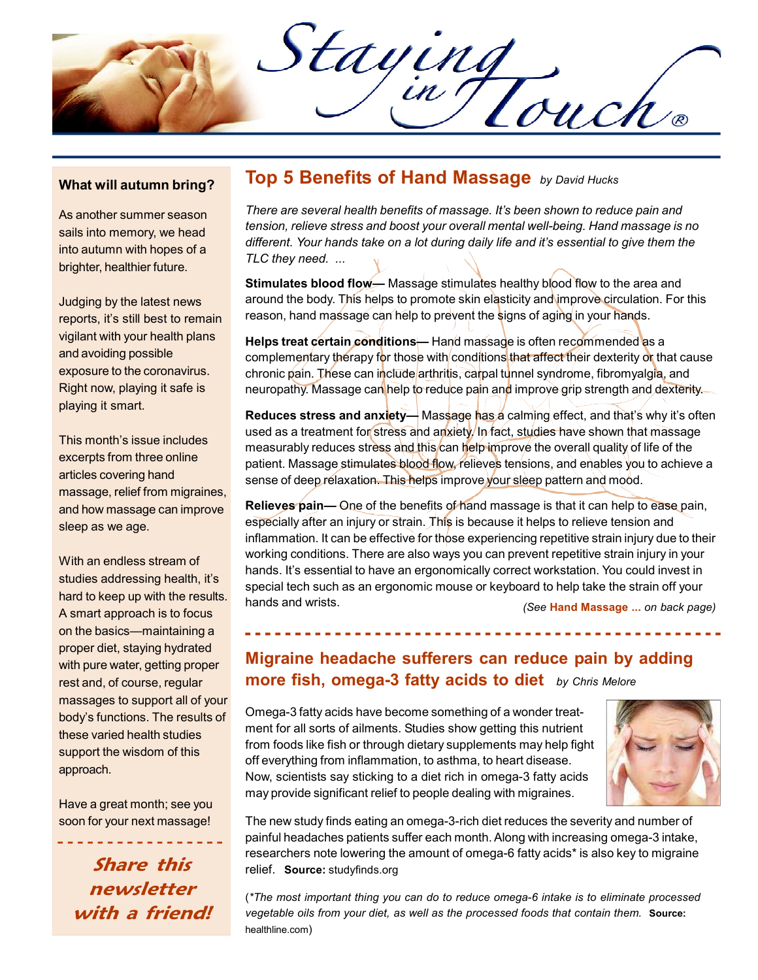Staying

#### What will autumn bring?

As another summer season sails into memory, we head into autumn with hopes of a brighter, healthier future.

Judging by the latest news reports, it's still best to remain vigilant with your health plans and avoiding possible exposure to the coronavirus. Right now, playing it safe is playing it smart.

This month's issue includes excerpts from three online articles covering hand massage, relief from migraines, and how massage can improve sleep as we age.

With an endless stream of studies addressing health, it's hard to keep up with the results. A smart approach is to focus on the basics—maintaining a proper diet, staying hydrated with pure water, getting proper rest and, of course, regular massages to support all of your body's functions. The results of these varied health studies support the wisdom of this approach.

Have a great month; see you soon for your next massage!

Share this newsletter with a friend!

## Top 5 Benefits of Hand Massage by David Hucks

There are several health benefits of massage. It's been shown to reduce pain and tension, relieve stress and boost your overall mental well-being. Hand massage is no different. Your hands take on a lot during daily life and it's essential to give them the TLC they need. ...

Stimulates blood flow— Massage stimulates healthy blood flow to the area and around the body. This helps to promote skin elasticity and improve circulation. For this reason, hand massage can help to prevent the signs of aging in your hands.

Helps treat certain conditions— Hand massage is often recommended as a complementary therapy for those with conditions that affect their dexterity of that cause chronic pain. These can include arthritis, carpal tunnel syndrome, fibromyalgia, and neuropathy. Massage can help to reduce pain and improve grip strength and dexterity.

Reduces stress and anxiety— Massage has a calming effect, and that's why it's often used as a treatment for stress and anxiety. In fact, studies have shown that massage measurably reduces stress and this can help improve the overall quality of life of the patient. Massage stimulates blood flow, relieves tensions, and enables you to achieve a sense of deep relaxation. This helps improve your sleep pattern and mood.

Relieves pain— One of the benefits of hand massage is that it can help to ease pain, especially after an injury or strain. This is because it helps to relieve tension and inflammation. It can be effective for those experiencing repetitive strain injury due to their working conditions. There are also ways you can prevent repetitive strain injury in your hands. It's essential to have an ergonomically correct workstation. You could invest in special tech such as an ergonomic mouse or keyboard to help take the strain off your hands and wrists.

(See Hand Massage ... on back page)

# Migraine headache sufferers can reduce pain by adding **more fish, omega-3 fatty acids to diet** by Chris Melore

Omega-3 fatty acids have become something of a wonder treatment for all sorts of ailments. Studies show getting this nutrient from foods like fish or through dietary supplements may help fight off everything from inflammation, to asthma, to heart disease. Now, scientists say sticking to a diet rich in omega-3 fatty acids may provide significant relief to people dealing with migraines.



The new study finds eating an omega-3-rich diet reduces the severity and number of painful headaches patients suffer each month. Along with increasing omega-3 intake, researchers note lowering the amount of omega-6 fatty acids\* is also key to migraine relief. Source: studyfinds.org

(\*The most important thing you can do to reduce omega-6 intake is to eliminate processed vegetable oils from your diet, as well as the processed foods that contain them. Source: healthline.com)